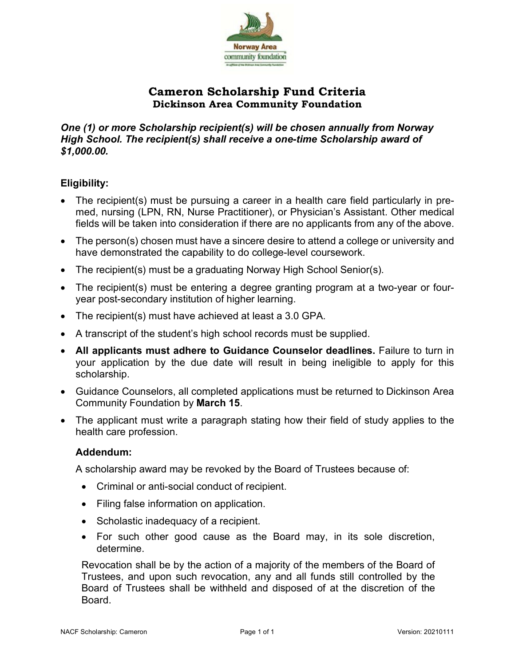

## **Cameron Scholarship Fund Criteria Dickinson Area Community Foundation**

*One (1) or more Scholarship recipient(s) will be chosen annually from Norway High School. The recipient(s) shall receive a one-time Scholarship award of \$1,000.00.*

### **Eligibility:**

- The recipient(s) must be pursuing a career in a health care field particularly in premed, nursing (LPN, RN, Nurse Practitioner), or Physician's Assistant. Other medical fields will be taken into consideration if there are no applicants from any of the above.
- The person(s) chosen must have a sincere desire to attend a college or university and have demonstrated the capability to do college-level coursework.
- The recipient(s) must be a graduating Norway High School Senior(s).
- The recipient(s) must be entering a degree granting program at a two-year or fouryear post-secondary institution of higher learning.
- The recipient(s) must have achieved at least a 3.0 GPA.
- A transcript of the student's high school records must be supplied.
- **All applicants must adhere to Guidance Counselor deadlines.** Failure to turn in your application by the due date will result in being ineligible to apply for this scholarship.
- Guidance Counselors, all completed applications must be returned to Dickinson Area Community Foundation by **March 15**.
- The applicant must write a paragraph stating how their field of study applies to the health care profession.

#### **Addendum:**

A scholarship award may be revoked by the Board of Trustees because of:

- Criminal or anti-social conduct of recipient.
- Filing false information on application.
- Scholastic inadequacy of a recipient.
- For such other good cause as the Board may, in its sole discretion, determine.

Revocation shall be by the action of a majority of the members of the Board of Trustees, and upon such revocation, any and all funds still controlled by the Board of Trustees shall be withheld and disposed of at the discretion of the Board.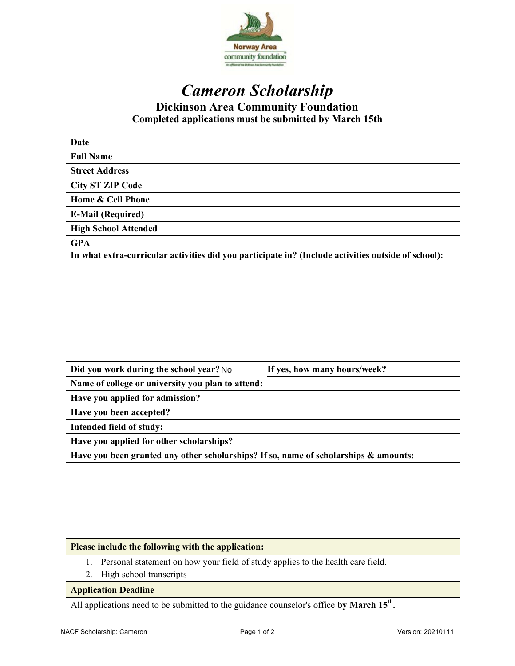

# *Cameron Scholarship* **Dickinson Area Community Foundation**

**Completed applications must be submitted by March 15th**

| <b>Date</b>                                                                                          |                                                                                                     |  |
|------------------------------------------------------------------------------------------------------|-----------------------------------------------------------------------------------------------------|--|
| <b>Full Name</b>                                                                                     |                                                                                                     |  |
| <b>Street Address</b>                                                                                |                                                                                                     |  |
| <b>City ST ZIP Code</b>                                                                              |                                                                                                     |  |
| Home & Cell Phone                                                                                    |                                                                                                     |  |
| <b>E-Mail (Required)</b>                                                                             |                                                                                                     |  |
| <b>High School Attended</b>                                                                          |                                                                                                     |  |
| <b>GPA</b>                                                                                           |                                                                                                     |  |
|                                                                                                      | In what extra-curricular activities did you participate in? (Include activities outside of school): |  |
|                                                                                                      |                                                                                                     |  |
| Did you work during the school year? No<br>If yes, how many hours/week?                              |                                                                                                     |  |
| Name of college or university you plan to attend:                                                    |                                                                                                     |  |
| Have you applied for admission?                                                                      |                                                                                                     |  |
| Have you been accepted?                                                                              |                                                                                                     |  |
| Intended field of study:                                                                             |                                                                                                     |  |
| Have you applied for other scholarships?                                                             |                                                                                                     |  |
|                                                                                                      | Have you been granted any other scholarships? If so, name of scholarships & amounts:                |  |
|                                                                                                      |                                                                                                     |  |
| Please include the following with the application:                                                   |                                                                                                     |  |
| 1.<br>High school transcripts<br>2.                                                                  | Personal statement on how your field of study applies to the health care field.                     |  |
| <b>Application Deadline</b>                                                                          |                                                                                                     |  |
| All applications need to be submitted to the guidance counselor's office by March 15 <sup>th</sup> . |                                                                                                     |  |